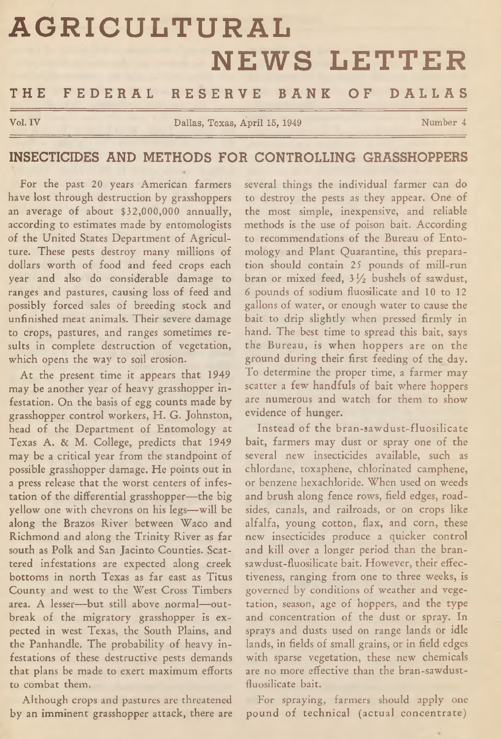# **AGRICULTURAL NEWS LETTER**

## THE FEDERAL RESERVE BANK OF DALLAS

**Vol. IV Collection Collection Collection Dallas, Texas, April 15, 1949 Number 4** 

### INSECTICIDES AND METHODS FOR CONTROLLING GRASSHOPPERS

For the past 20 years American farmers have lost through destruction by grasshoppers an average of about \$32,000,000 annually, according to estimates made by entomologists of the United States Department of Agriculture. These pests destroy many millions of dollars worth of food and feed crops each year and also do considerable damage to ranges and pastures, causing loss of feed and possibly forced sales of breeding stock and unfinished meat animals. Their severe damage to crops, pastures, and ranges sometimes results in complete destruction of vegetation, which opens the way to soil erosion.

At the present time it appears that 1949 may be another year of heavy grasshopper infestation. On the basis of egg counts made by grasshopper control workers, H. G. Johnston, head of the Department of Entomology at Texas A. & M. College, predicts that 1949 may be a critical year from the standpoint of possible grasshopper damage. He points out in a press release that the worst centers of infestation of the differential grasshopper— the big yellow one with chevrons on his legs—will be along the Brazos River between Waco and Richmond and along the Trinity River as far south as Polk and San Jacinto Counties. Scattered infestations are expected along creek bottoms in north Texas as far east as Titus County and west to the West Cross Timbers area. A lesser— but still above normal—outbreak of the migratory grasshopper is expected in west Texas, the South Plains, and the Panhandle. The probability of heavy infestations of these destructive pests demands that plans be made to exert maximum efforts to combat them.

Although crops and pastures arc threatened by an imminent grasshopper attack, there are several things the individual farmer can do to destroy the pests as they appear. One of the most simple, inexpensive, and reliable methods is the use of poison bait. According to recommendations of the Bureau of Entomology and Plant Quarantine, this preparation should contain 25 pounds of mill-run bran or mixed feed, 3 *l/z* bushels of sawdust, *6* pounds of sodium fluosilicate and 10 to 12 gallons of water, or enough water to cause the bait to drip slightly when pressed firmly in hand. The best time to spread this bait, says the Bureau, is when hoppers are on the ground during their first feeding of the day. To determine the proper time, a farmer may scatter a few handfuls of bait where hoppers are numerous and watch for them to show evidence of hunger.

Instead of the bran-sawdust-fluosilicate bait, farmers may dust or spray one of the several new insecticides available, such as chlordane, toxaphene, chlorinated camphene, or benzene hexachloride. When used on weeds and brush along fence rows, field edges, roadsides, canals, and railroads, or on crops like alfalfa, young cotton, flax, and corn, these new insecticides produce a quicker control and kill over a longer period than the bransawdust-fluosilicate bait. However, their effectiveness, ranging from one to three weeks, is governed by conditions of weather and vegetation, season, age of hoppers, and the type and concentration of the dust or spray. In sprays and dusts used on range lands or idle lands, in fields of small grains, or in field edges with sparse vegetation, these new chemicals are no more effective than the bran-sawdustfluosilicate bait.

For spraying, farmers should apply one pound of technical (actual concentrate)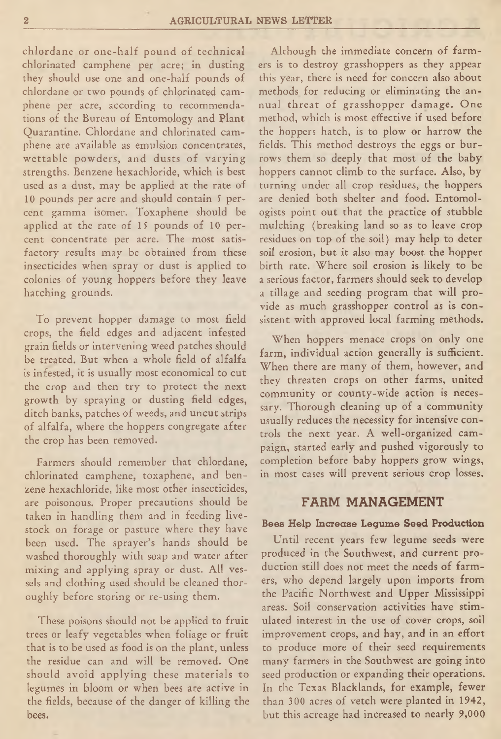chlordane or one-half pound of technical chlorinated camphene per acre; in dusting they should use one and one-half pounds of chlordane or two pounds of chlorinated camphene per acre, according to recommendations of the Bureau of Entomology and Plant Quarantine. Chlordane and chlorinated camphene are available as emulsion concentrates, wettable powders, and dusts of varying strengths. Benzene hexachloride, which is best used as a dust, may be applied at the rate of 10 pounds per acre and should contain 5 percent gamma isomer. Toxaphene should be applied at the rate of 15 pounds of 10 percent concentrate per acre. The most satisfactory results may be obtained from these insecticides when spray or dust is applied to colonies of young hoppers before they leave hatching grounds.

To prevent hopper damage to most field crops, the field edges and adjacent infested grain fields or intervening weed patches should be treated. But when a whole field of alfalfa is infested, it is usually most economical to cut the crop and then try to protect the next growth by spraying or dusting field edges, ditch banks, patches of weeds, and uncut strips of alfalfa, where the hoppers congregate after the crop has been removed.

Farmers should remember that chlordane, chlorinated camphene, toxaphene, and benzene hexachloride, like most other insecticides, are poisonous. Proper precautions should be taken in handling them and in feeding livestock on forage or pasture where they have been used. The sprayer's hands should be washed thoroughly with soap and water after mixing and applying spray or dust. All vessels and clothing used should be cleaned thoroughly before storing or re-using them.

These poisons should not be applied to fruit trees or leafy vegetables when foliage or fruit that is to be used as food is on the plant, unless the residue can and will be removed. One should avoid applying these materials to legumes in bloom or when bees are active in the fields, because of the danger of killing the bees.

Although the immediate concern of farmers is to destroy grasshoppers as they appear this year, there is need for concern also about methods for reducing or eliminating the annual threat of grasshopper damage. One method, which is most effective if used before the hoppers hatch, is to plow or harrow the fields. This method destroys the eggs or burrows them so deeply that most of the baby hoppers cannot climb to the surface. Also, by turning under all crop residues, the hoppers are denied both shelter and food. Entomologists point out that the practice of stubble mulching (breaking land so as to leave crop residues on top of the soil) may help to deter soil erosion, but it also may boost the hopper birth rate. Where soil erosion is likely to be a serious factor, farmers should seek to develop a tillage and seeding program that will provide as much grasshopper control as is consistent with approved local farming methods.

When hoppers menace crops on only one farm, individual action generally is sufficient. When there are many of them, however, and they threaten crops on other farms, united community or county-wide action is necessary. Thorough cleaning up of a community usually reduces the necessity for intensive controls the next year. A well-organized campaign, started early and pushed vigorously to completion before baby hoppers grow wings, in most cases will prevent serious crop losses.

#### FARM MANAGEMENT

#### Bees Help Increase Legume Seed Production

Until recent years few legume seeds were produced in the Southwest, and current production still does not meet the needs of farmers, who depend largely upon imports from the Pacific Northwest and Upper Mississippi areas. Soil conservation activities have stimulated interest in the use of cover crops, soil improvement crops, and hay, and in an effort to produce more of their seed requirements many farmers in the Southwest are going into seed production or expanding their operations. In the Texas Blacklands, for example, fewer than 300 acres of vetch were planted in 1942, but this acreage had increased to nearly 9,000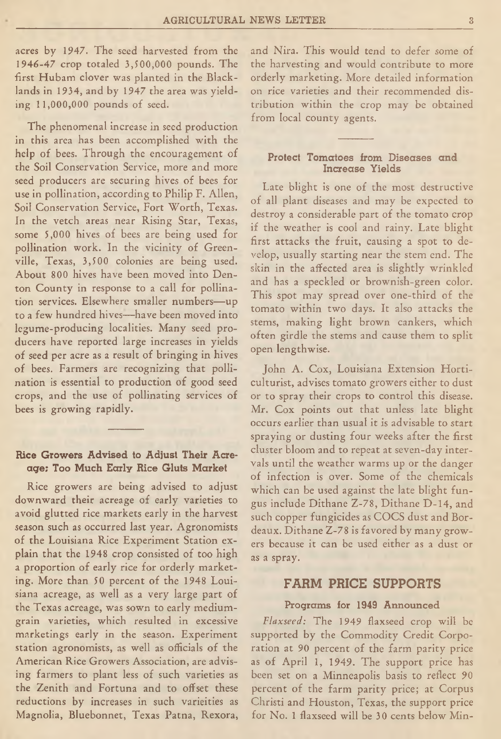acres by 1947. The seed harvested from the 1946-47 crop totaled 3,500,000 pounds. The first Hubam clover was planted in the Blacklands in 1934, and by 1947 the area was yielding 11,000,000 pounds of seed.

The phenomenal increase in seed production in this area has been accomplished with the help of bees. Through the encouragement of the Soil Conservation Service, more and more seed producers are securing hives of bees for use in pollination, according to Philip F. Allen, Soil Conservation Service, Fort Worth, Texas. In the vetch areas near Rising Star, Texas, some 5,000 hives of bees are being used for pollination work. In the vicinity of Greenville, Texas, 3,500 colonies are being used. About 800 hives have been moved into Denton County in response to a call for pollination services. Elsewhere smaller numbers—up to a few hundred hives—have been moved into legume-producing localities. Many seed producers have reported large increases in yields of seed per acre as a result of bringing in hives of bees. Farmers are recognizing that pollination is essential to production of good seed crops, and the use of pollinating services of bees is growing rapidly.

#### Rice Growers Advised to Adjust Their Acreage; Too Much Early Rice Gluts Market

Rice growers are being advised to adjust downward their acreage of early varieties to avoid glutted rice markets early in the harvest season such as occurred last year. Agronomists of the Louisiana Rice Experiment Station explain that the 1948 crop consisted of too high a proportion of early rice for orderly marketing. More than 50 percent of the 1948 Louisiana acreage, as well as a very large part of the Texas acreage, was sown to early mediumgrain varieties, which resulted in excessive marketings early in the season. Experiment station agronomists, as well as officials of the American Rice Growers Association, are advising farmers to plant less of such varieties as the Zenith and Fortuna and to offset these reductions by increases in such varieities as Magnolia, Bluebonnet, Texas Patna, Rexora, and Nira. This would tend to defer some of the harvesting and would contribute to more orderly marketing. More detailed information on rice varieties and their recommended distribution within the crop may be obtained from local county agents.

#### Protect Tomatoes from Diseases and Increase Yields

Late blight is one of the most destructive of all plant diseases and may be expected to destroy a considerable part of the tomato crop if the weather is cool and rainy. Late blight first attacks the fruit, causing a spot to develop, usually starting near the stem end. The skin in the affected area is slightly wrinkled and has a speckled or brownish-green color. This spot may spread over one-third of the tomato within two days. It also attacks the stems, making light brown cankers, which often girdle the stems and cause them to split open lengthwise.

John A. Cox, Louisiana Extension Horticulturist, advises tomato growers either to dust or to spray their crops to control this disease. Mr. Cox points out that unless late blight occurs earlier than usual it is advisable to start spraying or dusting four weeks after the first cluster bloom and to repeat at seven-day intervals until the weather warms up or the danger of infection is over. Some of the chemicals which can be used against the late blight fungus include Dithane Z-78, Dithane D-14, and such copper fungicides as COCS dust and Bordeaux. Dithane Z-78 is favored by many growers because it can be used either as a dust or as a spray.

#### FARM PRICE SUPPORTS

#### Programs for 1949 Announced

*Flaxseed:* The 1949 flaxseed crop will be supported by the Commodity Credit Corporation at 90 percent of the farm parity price as of April 1, 1949. The support price has been set on a Minneapolis basis to reflect 90 percent of the farm parity price; at Corpus Christi and Flouston, Texas, the support price for No. 1 flaxseed will be 30 cents below Min